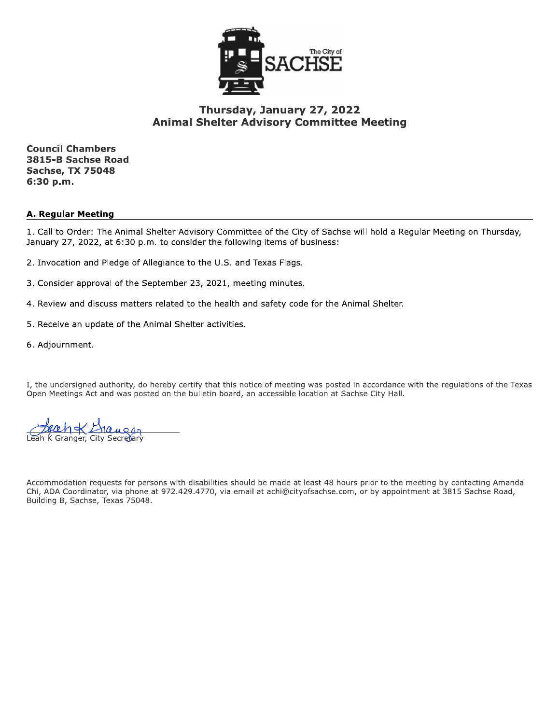

## Thursday, January 27, 2022 **Animal Shelter Advisory Committee Meeting**

**Council Chambers** 3815-B Sachse Road **Sachse, TX 75048** 6:30 p.m.

#### **A. Regular Meeting**

1. Call to Order: The Animal Shelter Advisory Committee of the City of Sachse will hold a Regular Meeting on Thursday, January 27, 2022, at 6:30 p.m. to consider the following items of business:

- 2. Invocation and Pledge of Allegiance to the U.S. and Texas Flags.
- 3. Consider approval of the September 23, 2021, meeting minutes.
- 4. Review and discuss matters related to the health and safety code for the Animal Shelter.
- 5. Receive an update of the Animal Shelter activities.
- 6. Adjournment.

I, the undersigned authority, do hereby certify that this notice of meeting was posted in accordance with the regulations of the Texas Open Meetings Act and was posted on the bulletin board, an accessible location at Sachse City Hall.

K Granger, City Secretar

Accommodation requests for persons with disabilities should be made at least 48 hours prior to the meeting by contacting Amanda Chi, ADA Coordinator, via phone at 972.429.4770, via email at achi@cityofsachse.com, or by appointment at 3815 Sachse Road, Building B, Sachse, Texas 75048.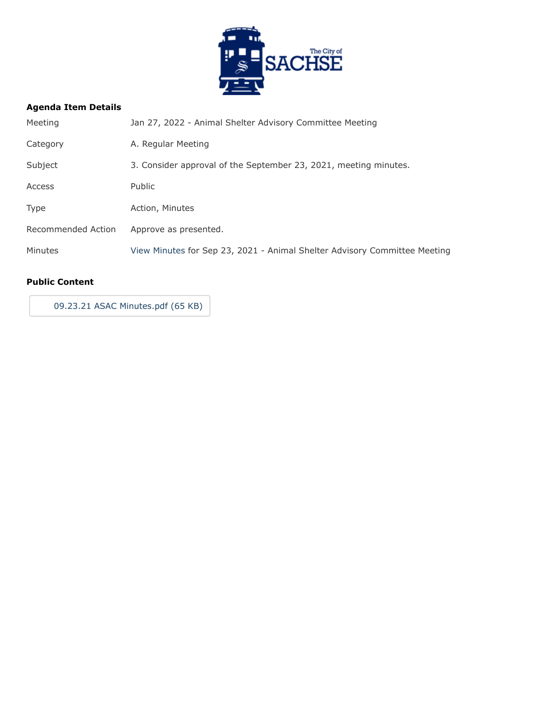

## **Agenda Item Details**

| Meeting            | Jan 27, 2022 - Animal Shelter Advisory Committee Meeting                  |
|--------------------|---------------------------------------------------------------------------|
| Category           | A. Regular Meeting                                                        |
| Subject            | 3. Consider approval of the September 23, 2021, meeting minutes.          |
| Access             | <b>Public</b>                                                             |
| <b>Type</b>        | Action, Minutes                                                           |
| Recommended Action | Approve as presented.                                                     |
| Minutes            | View Minutes for Sep 23, 2021 - Animal Shelter Advisory Committee Meeting |
|                    |                                                                           |

#### **Public Content**

[09.23.21 ASAC Minutes.pdf \(65 KB\)](https://go.boarddocs.com/tx/sachse/Board.nsf/files/CAUTPS785E91/$file/09.23.21%20ASAC%20Minutes.pdf)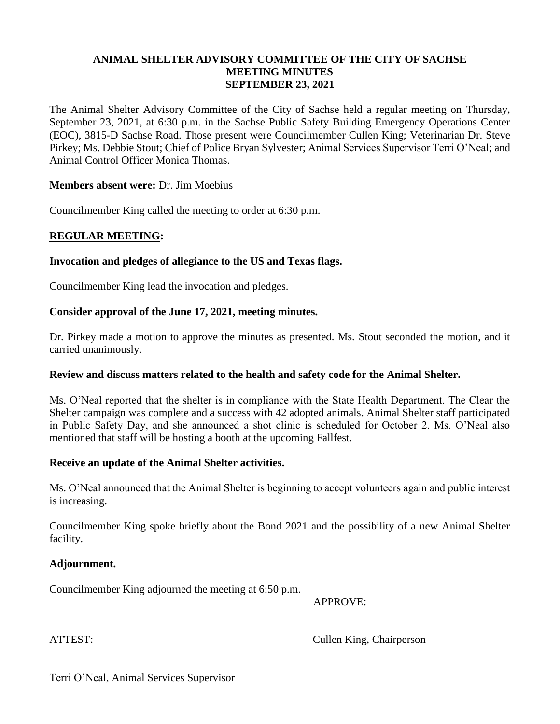## **ANIMAL SHELTER ADVISORY COMMITTEE OF THE CITY OF SACHSE MEETING MINUTES SEPTEMBER 23, 2021**

The Animal Shelter Advisory Committee of the City of Sachse held a regular meeting on Thursday, September 23, 2021, at 6:30 p.m. in the Sachse Public Safety Building Emergency Operations Center (EOC), 3815-D Sachse Road. Those present were Councilmember Cullen King; Veterinarian Dr. Steve Pirkey; Ms. Debbie Stout; Chief of Police Bryan Sylvester; Animal Services Supervisor Terri O'Neal; and Animal Control Officer Monica Thomas.

## **Members absent were:** Dr. Jim Moebius

Councilmember King called the meeting to order at 6:30 p.m.

# **REGULAR MEETING:**

## **Invocation and pledges of allegiance to the US and Texas flags.**

Councilmember King lead the invocation and pledges.

## **Consider approval of the June 17, 2021, meeting minutes.**

Dr. Pirkey made a motion to approve the minutes as presented. Ms. Stout seconded the motion, and it carried unanimously.

#### **Review and discuss matters related to the health and safety code for the Animal Shelter.**

Ms. O'Neal reported that the shelter is in compliance with the State Health Department. The Clear the Shelter campaign was complete and a success with 42 adopted animals. Animal Shelter staff participated in Public Safety Day, and she announced a shot clinic is scheduled for October 2. Ms. O'Neal also mentioned that staff will be hosting a booth at the upcoming Fallfest.

#### **Receive an update of the Animal Shelter activities.**

Ms. O'Neal announced that the Animal Shelter is beginning to accept volunteers again and public interest is increasing.

Councilmember King spoke briefly about the Bond 2021 and the possibility of a new Animal Shelter facility.

#### **Adjournment.**

Councilmember King adjourned the meeting at 6:50 p.m.

APPROVE:

ATTEST: Cullen King, Chairperson

Terri O'Neal, Animal Services Supervisor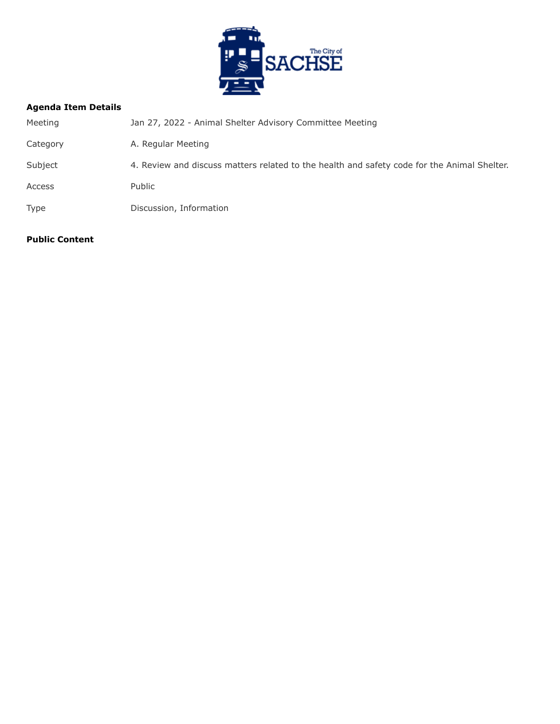

## **Agenda Item Details**

| Meeting     | Jan 27, 2022 - Animal Shelter Advisory Committee Meeting                                    |  |
|-------------|---------------------------------------------------------------------------------------------|--|
| Category    | A. Regular Meeting                                                                          |  |
| Subject     | 4. Review and discuss matters related to the health and safety code for the Animal Shelter. |  |
| Access      | Public                                                                                      |  |
| <b>Type</b> | Discussion, Information                                                                     |  |
|             |                                                                                             |  |

#### **Public Content**